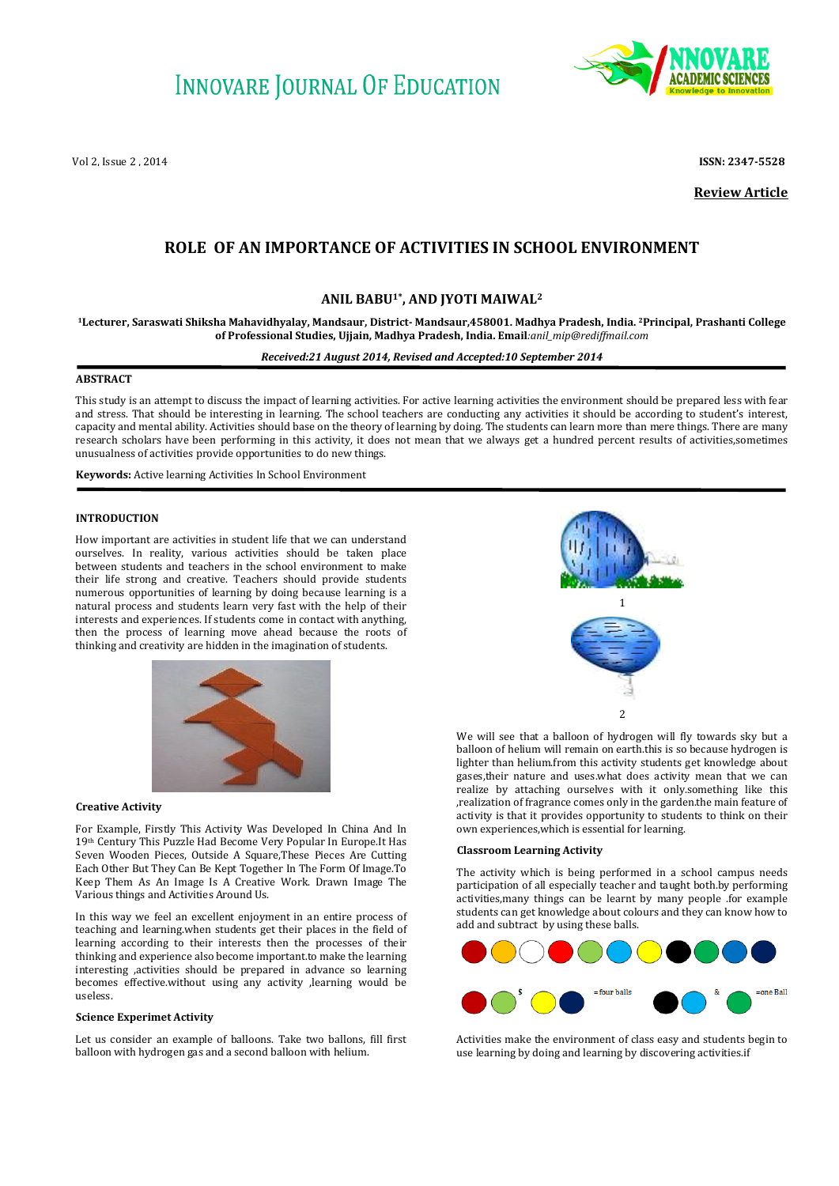

Vol 2, Issue 2 , 2014 **ISSN: 2347-5528**

**Review Article**

# **ROLE OF AN IMPORTANCE OF ACTIVITIES IN SCHOOL ENVIRONMENT**

## **ANIL BABU1\* , AND JYOTI MAIWAL<sup>2</sup>**

**<sup>1</sup>Lecturer, Saraswati Shiksha Mahavidhyalay, Mandsaur, District- Mandsaur,458001. Madhya Pradesh, India. 2Principal, Prashanti College of Professional Studies, Ujjain, Madhya Pradesh, India. Email***:anil\_mip@rediffmail.com*

#### *Received:21 August 2014, Revised and Accepted:10 September 2014*

### **ABSTRACT**

This study is an attempt to discuss the impact of learning activities. For active learning activities the environment should be prepared less with fear and stress. That should be interesting in learning. The school teachers are conducting any activities it should be according to student's interest, capacity and mental ability. Activities should base on the theory of learning by doing. The students can learn more than mere things. There are many research scholars have been performing in this activity, it does not mean that we always get a hundred percent results of activities,sometimes unusualness of activities provide opportunities to do new things.

**Keywords:** Active learning Activities In School Environment

## **INTRODUCTION**

How important are activities in student life that we can understand ourselves. In reality, various activities should be taken place between students and teachers in the school environment to make their life strong and creative. Teachers should provide students numerous opportunities of learning by doing because learning is a natural process and students learn very fast with the help of their interests and experiences. If students come in contact with anything, then the process of learning move ahead because the roots of thinking and creativity are hidden in the imagination of students.



#### **Creative Activity**

For Example, Firstly This Activity Was Developed In China And In 19th Century This Puzzle Had Become Very Popular In Europe.It Has Seven Wooden Pieces, Outside A Square,These Pieces Are Cutting Each Other But They Can Be Kept Together In The Form Of Image.To Keep Them As An Image Is A Creative Work. Drawn Image The Various things and Activities Around Us.

In this way we feel an excellent enjoyment in an entire process of teaching and learning.when students get their places in the field of learning according to their interests then the processes of their thinking and experience also become important.to make the learning interesting ,activities should be prepared in advance so learning becomes effective.without using any activity ,learning would be useless.

## **Science Experimet Activity**

Let us consider an example of balloons. Take two ballons, fill first balloon with hydrogen gas and a second balloon with helium.



We will see that a balloon of hydrogen will fly towards sky but a balloon of helium will remain on earth.this is so because hydrogen is lighter than helium.from this activity students get knowledge about gases,their nature and uses.what does activity mean that we can realize by attaching ourselves with it only.something like this ,realization of fragrance comes only in the garden.the main feature of activity is that it provides opportunity to students to think on their own experiences,which is essential for learning.

#### **Classroom Learning Activity**

The activity which is being performed in a school campus needs participation of all especially teacher and taught both.by performing activities,many things can be learnt by many people .for example students can get knowledge about colours and they can know how to add and subtract by using these balls.



Activities make the environment of class easy and students begin to use learning by doing and learning by discovering activities.if